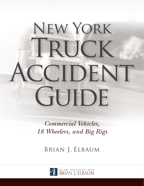# New York TRUCK CCIDENT GUIDE

*Commercial Vehicles, 18 Wheelers, and Big Rigs*

Brian J. Elbaum

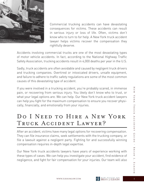

Commercial trucking accidents can have devastating consequences for victims. These accidents can result in serious injury or loss of life. Often, victims don't know who to turn to for help. A New York truck accident lawyer helps victims recover the compensation they rightfully deserve.

Accidents involving commercial trucks are one of the most devastating types of motor vehicle accidents. In fact, according to the National Highway Traffic Safety Association, trucking accidents result in 4,000 deaths per year in the U.S.

Sadly, truck accidents are often avoidable and caused by negligent truck drivers and trucking companies. Overtired or intoxicated drivers, unsafe equipment, and failure to adhere to traffic safety regulations are some of the most common causes of this devastating type of accident.

If you were involved in a trucking accident, you're probably scared, in immense pain, or recovering from serious injury. You likely don't know who to trust, or what your legal options are. We can help. Our New York truck accident lawyers can help you fight for the maximum compensation to ensure you recover physically, financially, and emotionally from your injuries.

## DO I NEED TO HIRE A NEW YORK TRUCK ACCIDENT LAWYER?

After an accident, victims have many legal options for recovering compensation. They can file insurance claims, seek settlements with the trucking company, or file a lawsuit against a negligent party. Fighting for and successfully winning compensation requires in-depth legal expertise.

Our New York truck accidents lawyers have years of experience working with these types of cases. We can help you investigate your accident, find evidence of negligence, and fight for fair compensation for your injuries. Our team will also

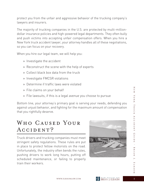protect you from the unfair and aggressive behavior of the trucking company's lawyers and insurers.

The majority of trucking companies in the U.S. are protected by multi-milliondollar insurance policies and high-powered legal departments. They often bully and push victims into accepting unfair compensation offers. When you hire a New York truck accident lawyer, your attorney handles all of these negotiations, so you can focus on your recovery.

When you hire our legal team, we will help you:

- » Investigate the accident
- » Reconstruct the scene with the help of experts
- » Collect black box data from the truck
- » Investigate FMCSR violations
- » Determine if traffic laws were violated
- » File claims on your behalf
- » File lawsuits, if this is a legal avenue you choose to pursue

Bottom line, your attorney's primary goal is serving your needs, defending you against unjust behavior, and fighting for the maximum amount of compensation that you rightfully deserve.

## WHO CAUSED YOUR ACCIDENT?

Truck drivers and trucking companies must meet stringent safety regulations. These rules are put in place to protect fellow motorists on the road. Unfortunately, the industry often bends the rules, pushing drivers to work long hours, putting off scheduled maintenance, or failing to properly train their workers.



Ζ

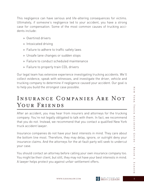This negligence can have serious and life-altering consequences for victims. Ultimately, if someone's negligence led to your accident, you have a strong case for compensation. Some of the most common causes of trucking accidents include:

- » Overtired drivers
- » Intoxicated driving
- » Failure to adhere to traffic safety laws
- » Unsafe lane changes or sudden stops
- » Failure to conduct scheduled maintenance
- » Failure to properly train CDL drivers

Our legal team has extensive experience investigating trucking accidents. We'll collect evidence, speak with witnesses, and investigate the driver, vehicle and trucking company to determine if negligence caused your accident. Our goal is to help you build the strongest case possible.

## Insurance Companies Are Not YOUR FRIENDS

After an accident, you may hear from insurers and attorneys for the trucking company. You're not legally obligated to talk with them. In fact, we recommend that you do not. Instead, we recommend that you contact a qualified New York truck accident lawyer.

Insurance companies do not have your best interests in mind. They care about the bottom line most. Therefore, they may delay, ignore, or outright deny your insurance claims. And the attorneys for the at-fault party will seek to undercut your case.

You should contact an attorney before calling your own insurance company too. You might be their client, but still, they may not have your best interests in mind. A lawyer helps protect you against unfair settlement offers.

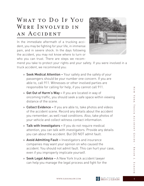## WHAT TO DO IF YOU WERE INVOLVED IN an Accident

In the immediate aftermath of a trucking accident, you may be fighting for your life, in immense pain, and in severe shock. In the days following the accident, you may not know where to turn or who you can trust. There are steps we recom-



mend you take to protect your rights and your safety. If you were involved in a truck accident, we recommend you:

- » Seek Medical Attention Your safety and the safety of your passengers should be your number one concern. If you are able to, call 911. Witnesses or other involved parties are responsible for calling for help, if you cannot call 911.
- » Get Out of Harm's Way If you are located in way of oncoming traffic, you should seek a safe space within viewing distance of the scene.
- » Collect Evidence If you are able to, take photos and videos of the accident scene. Record any details about the accident you remember, as well road conditions. Also, take photos of your vehicle and collect witness contact information.
- » Talk with Investigators If you do not require medical attention, you can talk with investigators. Provide any details you can about the accident. But DO NOT admit fault.
- » Avoid Admitting Fault Investigators and insurance companies may want your opinion on who caused the accident. You should not admit fault. This can hurt your case, even if you improperly implicate yourself.
- » Seek Legal Advice A New York truck accident lawyer can help you manage the legal process and fight for the

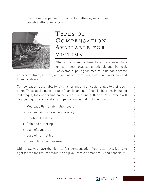maximum compensation. Contact an attorney as soon as possible after your accident.



#### TYPES OF Compensation Available for VICTIMS

After an accident, victims face many new challenges – both physical, emotional, and financial. For example, paying for medical bills can become

an overwhelming burden, and lost wages from time away from work can add financial stress.

Compensation is available for victims for any and all costs related to their accidents. These accidents can cause financial and non-financial burdens, including lost wages, loss of earning capacity, and pain and suffering. Your lawyer will help you fight for any and all compensation, including to help pay for:

- » Medical bills, rehabilitation costs
- » Lost wages, lost earning capacity
- » Emotional distress
- » Pain and suffering
- » Loss of consortium
- » Loss of normal life
- » Disability or disfigurement

Ultimately, you have the right to fair compensation. Your attorney's job is to fight for the maximum amount to help you recover emotionally and financially.

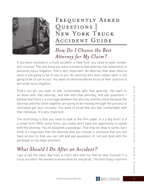

## FREQUENTLY ASKED QUESTIONS | New York Truck Accident Guide

### *How Do I Choose the Best Attorney for My Claim?*

If you were involved in a truck accident in New York, you need to seek competent counsel. The one thing you want to know is that attorney has experience in personal injury litigation; that's very important. An attorney that does divorce work is not going to be of use to you. An attorney who does estate work is not going to be of use to you. You want an attorney whose focus of their practice is personal injury litigation.

That's not all; you want to feel comfortable with that attorney. You want to sit down with that attorney, and talk with that attorney, and ask questions. I believe that there's a marriage between the attorney and the client because the attorney and the client together are going to be moving through the process to ultimately get your recovery. You want to know that you feel comfortable with that individual. It's very important.

The third thing is that you need to look at the firm itself. Is it a big firm? Is it a small firm? With some firms, you really don't have the opportunity to speak with the attorney. You're assigned a paralegal. That may be okay to some, but I think it's important that the attorney that you choose is someone that you can have access to, that you can call and ask questions of; not just deal with the paralegal or the legal assistant.

#### *What Should I Do After an Accident?*

I got a call the other day from a client who told me that he was involved in a truck accident. He wanted to know what he should do. The first thing I told him

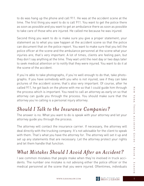to do was hang up the phone and call 911. He was at the accident scene at the time. The first thing you want to do is call 911. You want to get the police there as soon as possible and you want to get an ambulance there as soon as possible to take care of those who are injured. He called me because he was injured.

Second thing you want to do is make sure you give a proper statement; your statement as to what you saw happen at the accident scene so that the police can document that on the police report. You want to make sure that you tell the police officer at the scene and the ambulance personnel at the scene what your injuries are; that's very important. A lot of times, clients are feeling pain, but they don't say anything at the time. They wait until the next day or two days later to seek medical attention or to notify that they were injured. You want to do it at the scene of the accident.

If you're able to take photographs, if you're well enough to do that, take photographs. If you have somebody with you who is not injured, see if they can take pictures of the accident scene; that's also very important. Of course, after he called 911, he got back on the phone with me so that I could guide him through the process which is important. You need to call an attorney as early on so that attorney can guide you through the process. You should make sure that the attorney you're calling is a personal injury attorney.

#### *Should I Talk to the Insurance Companies?*

The answer is no. What you want to do is speak with your attorney and let your attorney guide you through the process.

The attorney will contact the insurance carrier. If necessary, the attorney will deal directly with the trucking company. It's not advisable for the client to speak with them. That's what you have the attorney for. The attorney will set it up and set up any statements that are necessary. Let the attorney protect your rights and let them handle that function.

#### *What Mistakes Should I Avoid After an Accident?*

I see common mistakes that people make when they're involved in truck accidents. The number one mistake is not advising either the police officer or the medical personnel at the scene that you were injured. Oftentimes, individuals

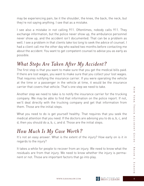may be experiencing pain, be it the shoulder, the knee, the back, the neck, but they're not saying anything. I see that as a mistake.

I see also a mistake in not calling 911. Oftentimes, nobody calls 911. They exchange information, but the police never show up, the ambulance personnel never show up, and the accident isn't documented. That can be a problem as well. I see a problem in that clients take too long to seek the advice of counsel. I had a client call me the other day who waited two months before contacting me about the accident. You want to get competent counsel to advise you as early as possible.

#### *What Steps Are Taken After My Accident?*

The first step is that you want to make sure that you get the medical bills paid. If there are lost wages, you want to make sure that you collect your lost wages. That requires notifying the insurance carrier. If you were operating the vehicle at the time or a passenger in the vehicle at time, it would be the insurance carrier that covers that vehicle. That's one step we need to take.

Another step we need to take is to notify the insurance carrier for the trucking company. We may be able to find that information on the police report. If not, we'll deal directly with the trucking company and get that information from them. Those are the initial steps.

What you need to do is get yourself healthy. That requires that you seek the medical attention that you need. If the doctors are advising you to do a, b, c, and d, then you should do a, b, c, and d. Those are the initial steps.

#### *How Much Is My Case Worth?*

It's not an easy answer. What is the extent of the injury? How early on is it in regards to the injury?

It takes a while for people to recover from an injury. We need to know what the residuals are from that injury. We need to know whether the injury is permanent or not. Those are important factors that go into play.



 $J$ . ELBAU

 $\overline{\mathbf{z}}$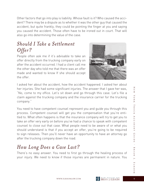Other factors that go into play is liability. Whose fault is it? Who caused the accident? There may be a dispute as to whether it was the other guy that caused the accident, but quite frankly, they could be pointing the finger at you and saying you caused the accident. Those often have to be ironed out in court. That will also go into determining the value of the case.

#### *Should I Take a Settlement Offer?*

People often ask me if it's advisable to take an offer directly from the trucking company early on after the accident occurred. I had a client call me the other day who told me that there was an offer made and wanted to know If she should accept the offer.



I asked her about the accident, how the accident happened. I asked her about her injuries. She had some significant injuries. The answer that I gave her was, "No, come to my office. Let's sit down and go through this case. Let's file a claim against the trucking company and the insurance carrier for the trucking company."

You need to have competent counsel represent you and guide you through this process. Competent counsel will get you the compensation that you're entitled to. What often happens is that the insurance company will try to get you to take an offer very early on before you've had a chance to speak with competent counsel to close out that case. What people need to be aware of or what you should understand is that if you accept an offer, you're going to be required to sign releases. Then you'll never have an opportunity to have an attorney go after the trucking company down the road.

## *How Long Does a Case Last?*

There's no easy answer. You need to first go through the healing process of your injury. We need to know if those injuries are permanent in nature. You

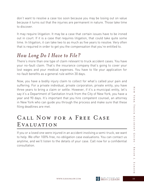don't want to resolve a case too soon because you may be losing out on value because it turns out that the injuries are permanent in nature. Those take time to discover.

It may require litigation. It may be a case that certain issues have to be ironed out in court. If it is a case that requires litigation, that could take quite some time. In litigation, it can take two to as much as five years to resolve. Very often that is required in order to get you the compensation that you're entitled to.

## *How Long Do I Have to File?*

There's more than one type of claim relevant to truck accident cases. You have your no-fault claim. That's the insurance company that's going to cover your lost wages and your medical expenses. You have to file your application for no-fault benefits as a general rule within 30 days.

Now, you have a bodily injury claim to collect for what's called your pain and suffering. For a private individual, private corporation, private entity, you have three years to bring a claim or settle. However, if it's a municipal entity, let's say it's a Department of Sanitation truck from the City of New York, you have a year and 90 days. It's important that you hire competent counsel, an attorney in New York who can guide you through the process and make sure that these filing deadlines are met.

# Call Now for a Free Case Evaluation

If you or a loved one were injured in an accident involving a semi-truck, we want to help. We offer 100% free, no-obligation case evaluations. You can contact us anytime, and we'll listen to the details of your case. Call now for a confidential consultation.

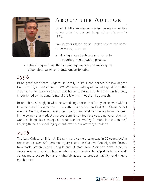

# About the Author

Brian J. Elbaum was only a few years out of law school when he decided to go out on his own in 1996.

Twenty years later, he still holds fast to the same two winning principles:

- » Making sure clients are comfortable throughout the litigation process.
- » Achieving great results by being aggressive and making the responsible party constantly uncomfortable.

## *1996*

Brian graduated from Rutgers University in 1991 and earned his law degree from Brooklyn Law School in 1994. While he had a great job at a good firm after graduating he quickly realized that he could serve clients better on his own, unburdened by the constraints of the law firm model and approach.

Brian felt so strongly in what he was doing that for his first year he was willing to work out of his apartment – a sixth floor walkup on East 37th Street & 3rd Avenue. Getting dressed every day in a full suit and tie to work from the desk in the corner of a modest one-bedroom, Brian took the cases no other attorney wanted. He quickly developed a reputation for making "lemons into lemonade," helping those personal injury clients who other attorneys couldn't.

#### *2016*

The Law Offices of Brian J. Elbaum have come a long way in 20 years. We've represented over 800 personal injury clients in Queens, Brooklyn, the Bronx, New York, Staten Island, Long Island, Upstate New York and New Jersey in cases involving construction accidents, auto accidents, slip & falls, medical/ dental malpractice, bar and nightclub assaults, product liability, and much, much more.

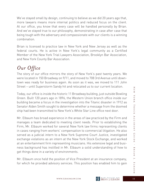We've stayed small by design, continuing to believe as we did 20 years ago that, more lawyers means more internal politics and reduced focus on the client. At our office, you know that every case will be handled personally by Brian. And we've stayed true to our philosophy, demonstrating in case after case that being tough with the adversary and compassionate with our clients is a winning combination.

Brian is licensed to practice law in New York and New Jersey as well as the federal courts. He is active in New York's legal community as a Certified Member of the New York Trial Lawyers Association, Brooklyn Bar Association, and New York County Bar Association.

# *Our Office*

The story of our office mirrors the story of New York's past twenty years. We were located in 150 Broadway on 9/11, and moved to 708 3rd Avenue until downtown was ready for business again. As soon as it was, we moved to 111 John Street – until Superstorm Sandy hit and relocated us to our current location.

Today, our office is inside the historic 11 Broadway building, just outside Bowling Green. Built 120 years ago in 1896, the Western Union branch office inside our building became a focus in the investigation into the Titanic disaster in 1912 as Senator Alden Smith sought to determine whether a message from the doomed ship had been transmitted to New York's White Star Line office next door.

Mr. Elbaum has broad experience in the areas of law practiced by the Firm and manages a team dedicated to meeting client needs. Prior to establishing the Firm, Mr. Elbaum worked for several New York law firms representing clients in cases ranging from workers' compensation to commercial litigation. He also served as a judicial intern to a New York Supreme Court Justice, investigated exchange violations as an intern at the New York Stock Exchange, and worked at an entertainment firm representing musicians. His extensive legal and business background has instilled in Mr. Elbaum a solid understanding of how to get things done in a variety of environments.

Mr. Elbaum once held the position of Vice President at an insurance company, for which he provided advisory services. This position has enabled him to gain

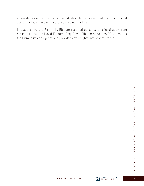an insider's view of the insurance industry. He translates that insight into solid advice for his clients on insurance-related matters.

In establishing the Firm, Mr. Elbaum received guidance and inspiration from his father, the late David Elbaum, Esq. David Elbaum served as Of Counsel to the Firm in its early years and provided key insights into several cases.